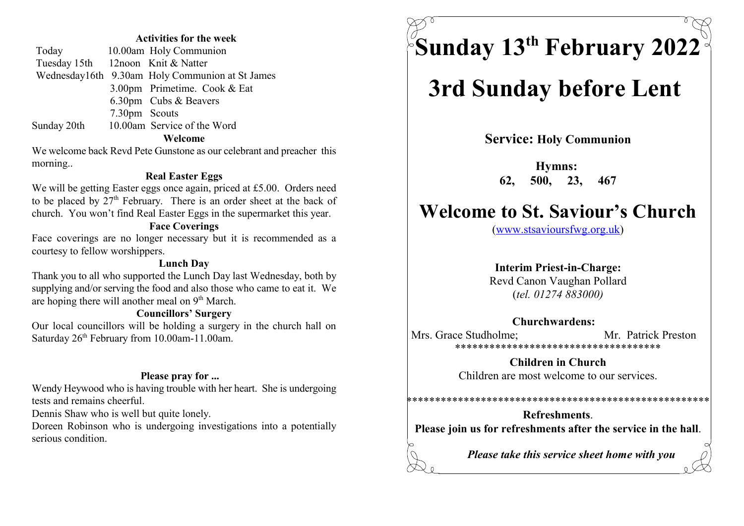#### Activities for the week

| Today                             |               | 10.00am Holy Communion                          |
|-----------------------------------|---------------|-------------------------------------------------|
| Tuesday 15th 12noon Knit & Natter |               |                                                 |
|                                   |               | Wednesday16th 9.30am Holy Communion at St James |
|                                   |               | 3.00pm Primetime. Cook & Eat                    |
|                                   |               | 6.30pm Cubs & Beavers                           |
|                                   | 7.30pm Scouts |                                                 |
| Sunday 20th                       |               | 10.00am Service of the Word                     |
|                                   |               | Welcome                                         |

We welcome back Revd Pete Gunstone as our celebrant and preacher this morning..

#### Real Easter Eggs

We will be getting Easter eggs once again, priced at £5.00. Orders need to be placed by  $27<sup>th</sup>$  February. There is an order sheet at the back of church. You won't find Real Easter Eggs in the supermarket this year.

#### Face Coverings

Face coverings are no longer necessary but it is recommended as a courtesy to fellow worshippers.

#### Lunch Day

Thank you to all who supported the Lunch Day last Wednesday, both by supplying and/or serving the food and also those who came to eat it. We are hoping there will another meal on  $9<sup>th</sup>$  March.

#### Councillors' Surgery

Our local councillors will be holding a surgery in the church hall on Saturday  $26<sup>th</sup>$  February from 10.00am-11.00am.

#### Please pray for ...

Wendy Heywood who is having trouble with her heart. She is undergoing tests and remains cheerful.

Dennis Shaw who is well but quite lonely.

Doreen Robinson who is undergoing investigations into a potentially serious condition.

Sunday 13<sup>th</sup> February 2022<sup>7</sup>

# 3rd Sunday before Lent

Service: Holy Communion

Hymns: 62, 500, 23, 467

# Welcome to St. Saviour's Church

(www.stsavioursfwg.org.uk)

#### Interim Priest-in-Charge:

Revd Canon Vaughan Pollard (tel. 01274 883000)

#### Churchwardens:

Mrs. Grace Studholme; Mr. Patrick Preston \*\*\*\*\*\*\*\*\*\*\*\*\*\*\*\*\*\*\*\*\*\*\*\*\*\*\*\*\*\*\*\*\*\*\*\*

> Children in Church Children are most welcome to our services.

\*\*\*\*\*\*\*\*\*\*\*\*\*\*\*\*\*\*\*\*\*\*\*\*\*\*\*\*\*\*\*\*\*\*\*\*\*\*

Refreshments. Please join us for refreshments after the service in the hall.

Please take this service sheet home with you